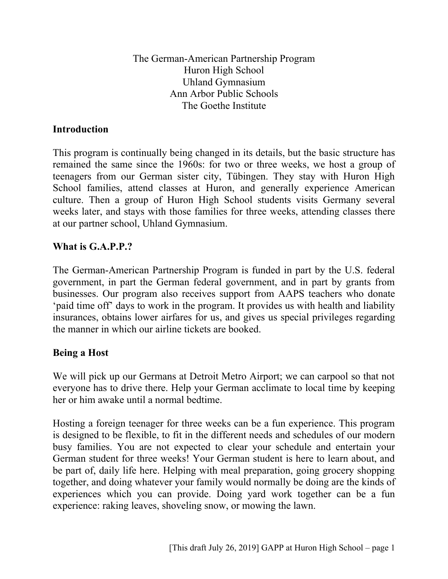The German-American Partnership Program Huron High School Uhland Gymnasium Ann Arbor Public Schools The Goethe Institute

#### **Introduction**

This program is continually being changed in its details, but the basic structure has remained the same since the 1960s: for two or three weeks, we host a group of teenagers from our German sister city, Tübingen. They stay with Huron High School families, attend classes at Huron, and generally experience American culture. Then a group of Huron High School students visits Germany several weeks later, and stays with those families for three weeks, attending classes there at our partner school, Uhland Gymnasium.

### **What is G.A.P.P.?**

The German-American Partnership Program is funded in part by the U.S. federal government, in part the German federal government, and in part by grants from businesses. Our program also receives support from AAPS teachers who donate 'paid time off' days to work in the program. It provides us with health and liability insurances, obtains lower airfares for us, and gives us special privileges regarding the manner in which our airline tickets are booked.

#### **Being a Host**

We will pick up our Germans at Detroit Metro Airport; we can carpool so that not everyone has to drive there. Help your German acclimate to local time by keeping her or him awake until a normal bedtime.

Hosting a foreign teenager for three weeks can be a fun experience. This program is designed to be flexible, to fit in the different needs and schedules of our modern busy families. You are not expected to clear your schedule and entertain your German student for three weeks! Your German student is here to learn about, and be part of, daily life here. Helping with meal preparation, going grocery shopping together, and doing whatever your family would normally be doing are the kinds of experiences which you can provide. Doing yard work together can be a fun experience: raking leaves, shoveling snow, or mowing the lawn.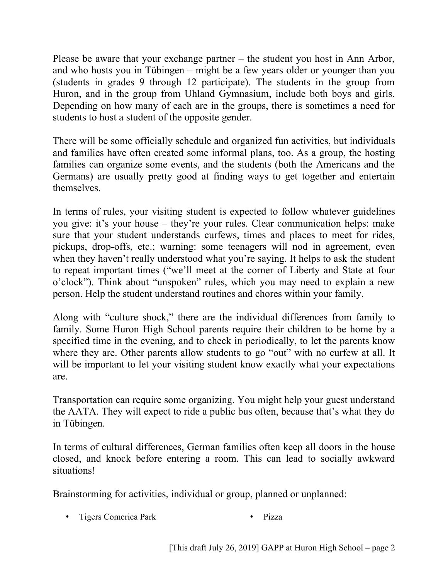Please be aware that your exchange partner – the student you host in Ann Arbor, and who hosts you in Tübingen – might be a few years older or younger than you (students in grades 9 through 12 participate). The students in the group from Huron, and in the group from Uhland Gymnasium, include both boys and girls. Depending on how many of each are in the groups, there is sometimes a need for students to host a student of the opposite gender.

There will be some officially schedule and organized fun activities, but individuals and families have often created some informal plans, too. As a group, the hosting families can organize some events, and the students (both the Americans and the Germans) are usually pretty good at finding ways to get together and entertain themselves.

In terms of rules, your visiting student is expected to follow whatever guidelines you give: it's your house – they're your rules. Clear communication helps: make sure that your student understands curfews, times and places to meet for rides, pickups, drop-offs, etc.; warning: some teenagers will nod in agreement, even when they haven't really understood what you're saying. It helps to ask the student to repeat important times ("we'll meet at the corner of Liberty and State at four o'clock"). Think about "unspoken" rules, which you may need to explain a new person. Help the student understand routines and chores within your family.

Along with "culture shock," there are the individual differences from family to family. Some Huron High School parents require their children to be home by a specified time in the evening, and to check in periodically, to let the parents know where they are. Other parents allow students to go "out" with no curfew at all. It will be important to let your visiting student know exactly what your expectations are.

Transportation can require some organizing. You might help your guest understand the AATA. They will expect to ride a public bus often, because that's what they do in Tübingen.

In terms of cultural differences, German families often keep all doors in the house closed, and knock before entering a room. This can lead to socially awkward situations!

Brainstorming for activities, individual or group, planned or unplanned:

• Tigers Comerica Park • Pizza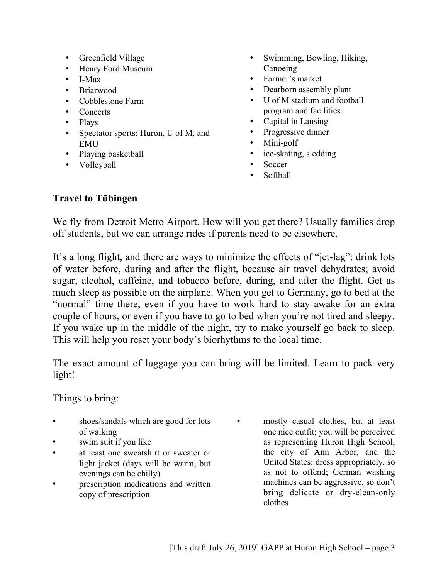- Greenfield Village
- Henry Ford Museum
- I-Max
- Briarwood
- Cobblestone Farm
- Concerts
- Plays
- Spectator sports: Huron, U of M, and EMU
- Playing basketball
- Volleyball
- Swimming, Bowling, Hiking, Canoeing
- Farmer's market
- Dearborn assembly plant
- U of M stadium and football program and facilities
- Capital in Lansing
- Progressive dinner
- Mini-golf
- ice-skating, sledding
- Soccer
- Softball

## **Travel to Tübingen**

We fly from Detroit Metro Airport. How will you get there? Usually families drop off students, but we can arrange rides if parents need to be elsewhere.

It's a long flight, and there are ways to minimize the effects of "jet-lag": drink lots of water before, during and after the flight, because air travel dehydrates; avoid sugar, alcohol, caffeine, and tobacco before, during, and after the flight. Get as much sleep as possible on the airplane. When you get to Germany, go to bed at the "normal" time there, even if you have to work hard to stay awake for an extra couple of hours, or even if you have to go to bed when you're not tired and sleepy. If you wake up in the middle of the night, try to make yourself go back to sleep. This will help you reset your body's biorhythms to the local time.

The exact amount of luggage you can bring will be limited. Learn to pack very light!

Things to bring:

- shoes/sandals which are good for lots of walking
- swim suit if you like
- at least one sweatshirt or sweater or light jacket (days will be warm, but evenings can be chilly)
- prescription medications and written copy of prescription
- mostly casual clothes, but at least one nice outfit; you will be perceived as representing Huron High School, the city of Ann Arbor, and the United States: dress appropriately, so as not to offend; German washing machines can be aggressive, so don't bring delicate or dry-clean-only clothes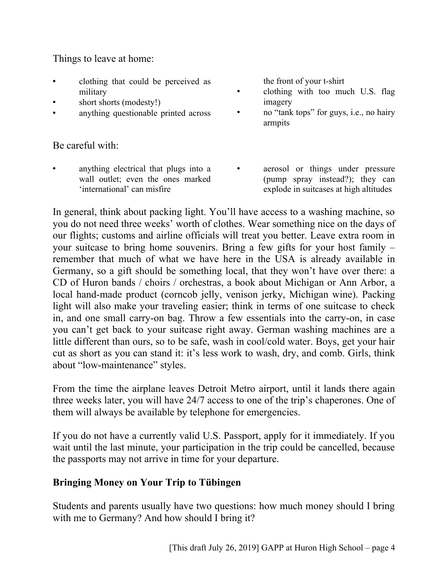Things to leave at home:

- clothing that could be perceived as military
- short shorts (modesty!)
- anything questionable printed across

Be careful with:

• anything electrical that plugs into a wall outlet; even the ones marked 'international' can misfire

the front of your t-shirt

- clothing with too much U.S. flag imagery
- no "tank tops" for guys, i.e., no hairy armpits
- aerosol or things under pressure (pump spray instead?); they can explode in suitcases at high altitudes

In general, think about packing light. You'll have access to a washing machine, so you do not need three weeks' worth of clothes. Wear something nice on the days of our flights; customs and airline officials will treat you better. Leave extra room in your suitcase to bring home souvenirs. Bring a few gifts for your host family – remember that much of what we have here in the USA is already available in Germany, so a gift should be something local, that they won't have over there: a CD of Huron bands / choirs / orchestras, a book about Michigan or Ann Arbor, a local hand-made product (corncob jelly, venison jerky, Michigan wine). Packing light will also make your traveling easier; think in terms of one suitcase to check in, and one small carry-on bag. Throw a few essentials into the carry-on, in case you can't get back to your suitcase right away. German washing machines are a little different than ours, so to be safe, wash in cool/cold water. Boys, get your hair cut as short as you can stand it: it's less work to wash, dry, and comb. Girls, think about "low-maintenance" styles.

From the time the airplane leaves Detroit Metro airport, until it lands there again three weeks later, you will have 24/7 access to one of the trip's chaperones. One of them will always be available by telephone for emergencies.

If you do not have a currently valid U.S. Passport, apply for it immediately. If you wait until the last minute, your participation in the trip could be cancelled, because the passports may not arrive in time for your departure.

## **Bringing Money on Your Trip to Tübingen**

Students and parents usually have two questions: how much money should I bring with me to Germany? And how should I bring it?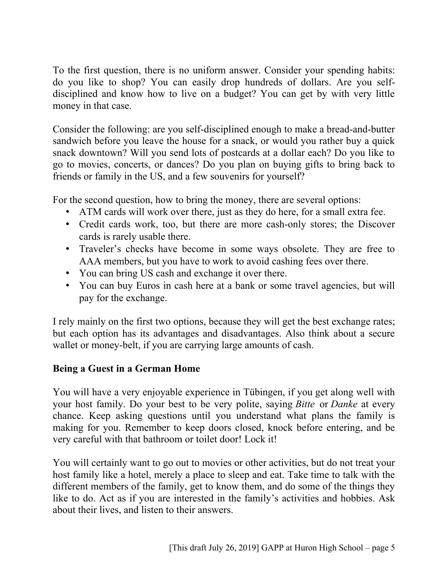To the first question, there is no uniform answer. Consider your spending habits: do you like to shop? You can easily drop hundreds of dollars. Are you selfdisciplined and know how to live on a budget? You can get by with very little money in that case.

Consider the following: are you self-disciplined enough to make a bread-and-butter sandwich before you leave the house for a snack, or would you rather buy a quick snack downtown? Will you send lots of postcards at a dollar each? Do you like to go to movies, concerts, or dances? Do you plan on buying gifts to bring back to friends or family in the US, and a few souvenirs for yourself?

For the second question, how to bring the money, there are several options:

- ATM cards will work over there, just as they do here, for a small extra fee.
- Credit cards work, too, but there are more cash-only stores; the Discover cards is rarely usable there.
- Traveler's checks have become in some ways obsolete. They are free to AAA members, but you have to work to avoid cashing fees over there.
- You can bring US cash and exchange it over there.
- You can buy Euros in cash here at a bank or some travel agencies, but will pay for the exchange.

I rely mainly on the first two options, because they will get the best exchange rates; but each option has its advantages and disadvantages. Also think about a secure wallet or money-belt, if you are carrying large amounts of cash.

## **Being a Guest in a German Home**

You will have a very enjoyable experience in Tübingen, if you get along well with your host family. Do your best to be very polite, saying *Bitte* or *Danke* at every chance. Keep asking questions until you understand what plans the family is making for you. Remember to keep doors closed, knock before entering, and be very careful with that bathroom or toilet door! Lock it!

You will certainly want to go out to movies or other activities, but do not treat your host family like a hotel, merely a place to sleep and eat. Take time to talk with the different members of the family, get to know them, and do some of the things they like to do. Act as if you are interested in the family's activities and hobbies. Ask about their lives, and listen to their answers.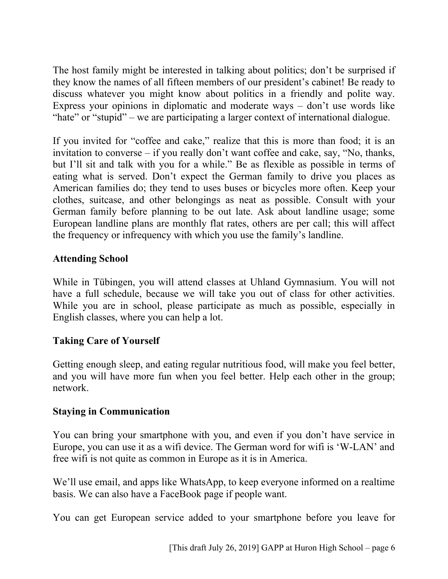The host family might be interested in talking about politics; don't be surprised if they know the names of all fifteen members of our president's cabinet! Be ready to discuss whatever you might know about politics in a friendly and polite way. Express your opinions in diplomatic and moderate ways – don't use words like "hate" or "stupid" – we are participating a larger context of international dialogue.

If you invited for "coffee and cake," realize that this is more than food; it is an invitation to converse – if you really don't want coffee and cake, say, "No, thanks, but I'll sit and talk with you for a while." Be as flexible as possible in terms of eating what is served. Don't expect the German family to drive you places as American families do; they tend to uses buses or bicycles more often. Keep your clothes, suitcase, and other belongings as neat as possible. Consult with your German family before planning to be out late. Ask about landline usage; some European landline plans are monthly flat rates, others are per call; this will affect the frequency or infrequency with which you use the family's landline.

## **Attending School**

While in Tübingen, you will attend classes at Uhland Gymnasium. You will not have a full schedule, because we will take you out of class for other activities. While you are in school, please participate as much as possible, especially in English classes, where you can help a lot.

# **Taking Care of Yourself**

Getting enough sleep, and eating regular nutritious food, will make you feel better, and you will have more fun when you feel better. Help each other in the group; network.

## **Staying in Communication**

You can bring your smartphone with you, and even if you don't have service in Europe, you can use it as a wifi device. The German word for wifi is 'W-LAN' and free wifi is not quite as common in Europe as it is in America.

We'll use email, and apps like WhatsApp, to keep everyone informed on a realtime basis. We can also have a FaceBook page if people want.

You can get European service added to your smartphone before you leave for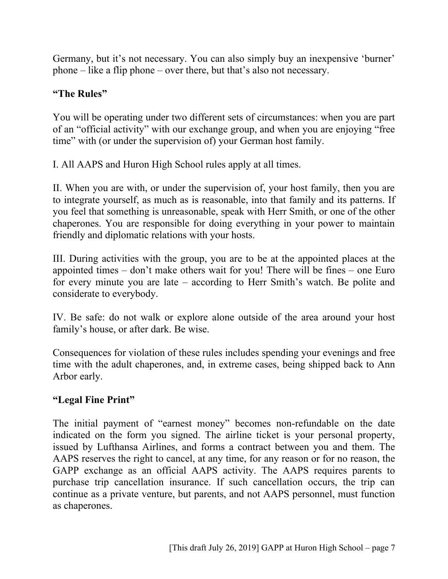Germany, but it's not necessary. You can also simply buy an inexpensive 'burner' phone – like a flip phone – over there, but that's also not necessary.

# **"The Rules"**

You will be operating under two different sets of circumstances: when you are part of an "official activity" with our exchange group, and when you are enjoying "free time" with (or under the supervision of) your German host family.

I. All AAPS and Huron High School rules apply at all times.

II. When you are with, or under the supervision of, your host family, then you are to integrate yourself, as much as is reasonable, into that family and its patterns. If you feel that something is unreasonable, speak with Herr Smith, or one of the other chaperones. You are responsible for doing everything in your power to maintain friendly and diplomatic relations with your hosts.

III. During activities with the group, you are to be at the appointed places at the appointed times – don't make others wait for you! There will be fines – one Euro for every minute you are late – according to Herr Smith's watch. Be polite and considerate to everybody.

IV. Be safe: do not walk or explore alone outside of the area around your host family's house, or after dark. Be wise.

Consequences for violation of these rules includes spending your evenings and free time with the adult chaperones, and, in extreme cases, being shipped back to Ann Arbor early.

# **"Legal Fine Print"**

The initial payment of "earnest money" becomes non-refundable on the date indicated on the form you signed. The airline ticket is your personal property, issued by Lufthansa Airlines, and forms a contract between you and them. The AAPS reserves the right to cancel, at any time, for any reason or for no reason, the GAPP exchange as an official AAPS activity. The AAPS requires parents to purchase trip cancellation insurance. If such cancellation occurs, the trip can continue as a private venture, but parents, and not AAPS personnel, must function as chaperones.